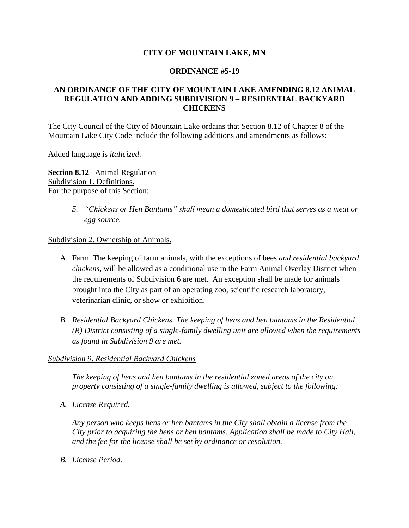### **CITY OF MOUNTAIN LAKE, MN**

#### **ORDINANCE #5-19**

## **AN ORDINANCE OF THE CITY OF MOUNTAIN LAKE AMENDING 8.12 ANIMAL REGULATION AND ADDING SUBDIVISION 9 – RESIDENTIAL BACKYARD CHICKENS**

The City Council of the City of Mountain Lake ordains that Section 8.12 of Chapter 8 of the Mountain Lake City Code include the following additions and amendments as follows:

Added language is *italicized*.

**Section 8.12** Animal Regulation Subdivision 1. Definitions. For the purpose of this Section:

> *5. "Chickens or Hen Bantams" shall mean a domesticated bird that serves as a meat or egg source.*

Subdivision 2. Ownership of Animals.

- A. Farm. The keeping of farm animals, with the exceptions of bees *and residential backyard chickens*, will be allowed as a conditional use in the Farm Animal Overlay District when the requirements of Subdivision 6 are met. An exception shall be made for animals brought into the City as part of an operating zoo, scientific research laboratory, veterinarian clinic, or show or exhibition.
- *B. Residential Backyard Chickens. The keeping of hens and hen bantams in the Residential (R) District consisting of a single-family dwelling unit are allowed when the requirements as found in Subdivision 9 are met.*

### *Subdivision 9. Residential Backyard Chickens*

*The keeping of hens and hen bantams in the residential zoned areas of the city on property consisting of a single-family dwelling is allowed, subject to the following:*

*A. License Required.* 

*Any person who keeps hens or hen bantams in the City shall obtain a license from the City prior to acquiring the hens or hen bantams. Application shall be made to City Hall, and the fee for the license shall be set by ordinance or resolution.*

*B. License Period.*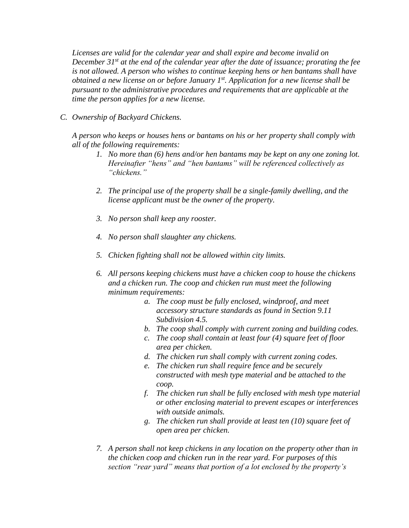*Licenses are valid for the calendar year and shall expire and become invalid on December 31st at the end of the calendar year after the date of issuance; prorating the fee is not allowed. A person who wishes to continue keeping hens or hen bantams shall have obtained a new license on or before January 1st. Application for a new license shall be pursuant to the administrative procedures and requirements that are applicable at the time the person applies for a new license.*

*C. Ownership of Backyard Chickens.* 

*A person who keeps or houses hens or bantams on his or her property shall comply with all of the following requirements:*

- *1. No more than (6) hens and/or hen bantams may be kept on any one zoning lot. Hereinafter "hens" and "hen bantams" will be referenced collectively as "chickens."*
- *2. The principal use of the property shall be a single-family dwelling, and the license applicant must be the owner of the property.*
- *3. No person shall keep any rooster.*
- *4. No person shall slaughter any chickens.*
- *5. Chicken fighting shall not be allowed within city limits.*
- *6. All persons keeping chickens must have a chicken coop to house the chickens and a chicken run. The coop and chicken run must meet the following minimum requirements:*
	- *a. The coop must be fully enclosed, windproof, and meet accessory structure standards as found in Section 9.11 Subdivision 4.5.*
	- *b. The coop shall comply with current zoning and building codes.*
	- *c. The coop shall contain at least four (4) square feet of floor area per chicken.*
	- *d. The chicken run shall comply with current zoning codes.*
	- *e. The chicken run shall require fence and be securely constructed with mesh type material and be attached to the coop.*
	- *f. The chicken run shall be fully enclosed with mesh type material or other enclosing material to prevent escapes or interferences with outside animals.*
	- *g. The chicken run shall provide at least ten (10) square feet of open area per chicken.*
- *7. A person shall not keep chickens in any location on the property other than in the chicken coop and chicken run in the rear yard. For purposes of this section "rear yard" means that portion of a lot enclosed by the property's*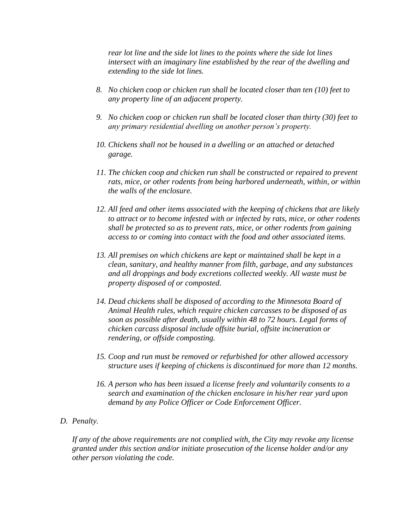*rear lot line and the side lot lines to the points where the side lot lines intersect with an imaginary line established by the rear of the dwelling and extending to the side lot lines.*

- *8. No chicken coop or chicken run shall be located closer than ten (10) feet to any property line of an adjacent property.*
- *9. No chicken coop or chicken run shall be located closer than thirty (30) feet to any primary residential dwelling on another person's property.*
- *10. Chickens shall not be housed in a dwelling or an attached or detached garage.*
- *11. The chicken coop and chicken run shall be constructed or repaired to prevent rats, mice, or other rodents from being harbored underneath, within, or within the walls of the enclosure.*
- *12. All feed and other items associated with the keeping of chickens that are likely to attract or to become infested with or infected by rats, mice, or other rodents shall be protected so as to prevent rats, mice, or other rodents from gaining access to or coming into contact with the food and other associated items.*
- *13. All premises on which chickens are kept or maintained shall be kept in a clean, sanitary, and healthy manner from filth, garbage, and any substances and all droppings and body excretions collected weekly. All waste must be property disposed of or composted.*
- *14. Dead chickens shall be disposed of according to the Minnesota Board of Animal Health rules, which require chicken carcasses to be disposed of as soon as possible after death, usually within 48 to 72 hours. Legal forms of chicken carcass disposal include offsite burial, offsite incineration or rendering, or offside composting.*
- *15. Coop and run must be removed or refurbished for other allowed accessory structure uses if keeping of chickens is discontinued for more than 12 months.*
- *16. A person who has been issued a license freely and voluntarily consents to a search and examination of the chicken enclosure in his/her rear yard upon demand by any Police Officer or Code Enforcement Officer.*
- *D. Penalty.*

*If any of the above requirements are not complied with, the City may revoke any license granted under this section and/or initiate prosecution of the license holder and/or any other person violating the code.*